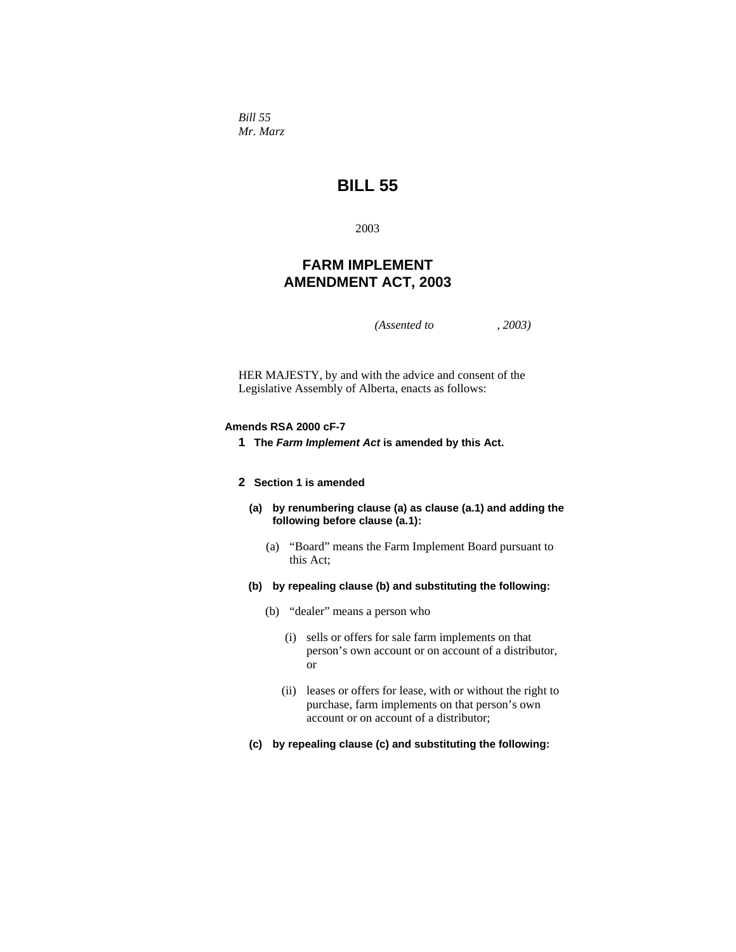*Bill 55 Mr. Marz* 

# **BILL 55**

2003

# **FARM IMPLEMENT AMENDMENT ACT, 2003**

*(Assented to , 2003)* 

HER MAJESTY, by and with the advice and consent of the Legislative Assembly of Alberta, enacts as follows:

# **Amends RSA 2000 cF-7**

**1 The** *Farm Implement Act* **is amended by this Act.** 

## **2 Section 1 is amended**

- **(a) by renumbering clause (a) as clause (a.1) and adding the following before clause (a.1):** 
	- (a) "Board" means the Farm Implement Board pursuant to this Act;
- **(b) by repealing clause (b) and substituting the following:** 
	- (b) "dealer" means a person who
		- (i) sells or offers for sale farm implements on that person's own account or on account of a distributor, or
		- (ii) leases or offers for lease, with or without the right to purchase, farm implements on that person's own account or on account of a distributor;
- **(c) by repealing clause (c) and substituting the following:**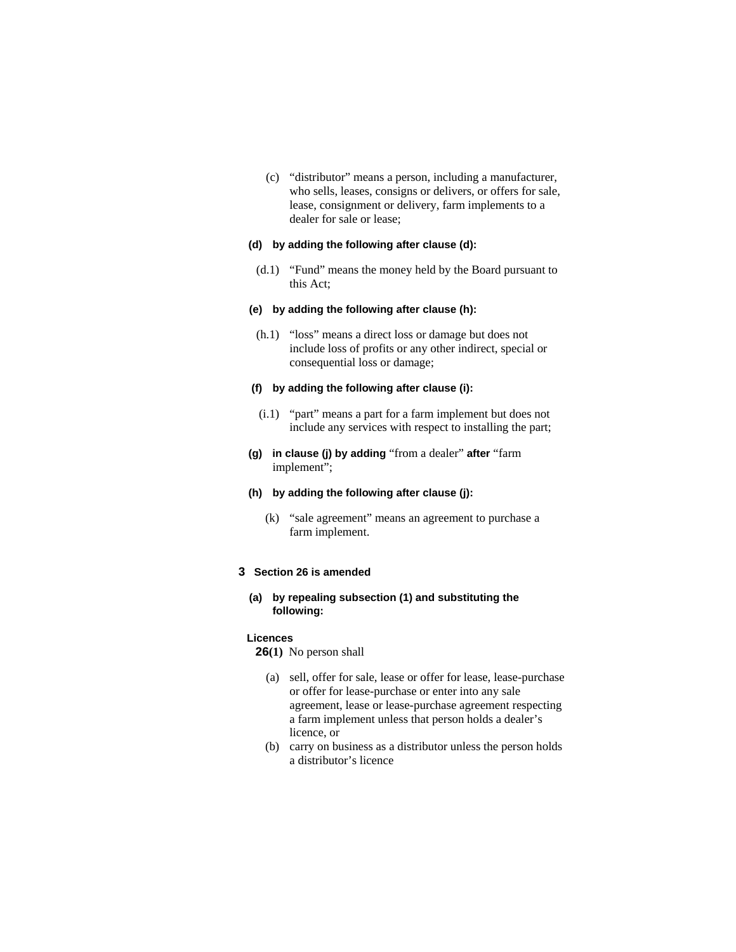(c) "distributor" means a person, including a manufacturer, who sells, leases, consigns or delivers, or offers for sale, lease, consignment or delivery, farm implements to a dealer for sale or lease;

# **(d) by adding the following after clause (d):**

 (d.1) "Fund" means the money held by the Board pursuant to this Act;

### **(e) by adding the following after clause (h):**

 (h.1) "loss" means a direct loss or damage but does not include loss of profits or any other indirect, special or consequential loss or damage;

#### **(f) by adding the following after clause (i):**

- (i.1) "part" means a part for a farm implement but does not include any services with respect to installing the part;
- **(g) in clause (j) by adding** "from a dealer" **after** "farm implement";

# **(h) by adding the following after clause (j):**

 (k) "sale agreement" means an agreement to purchase a farm implement.

## **3 Section 26 is amended**

# **(a) by repealing subsection (1) and substituting the following:**

#### **Licences**

**26(1)** No person shall

- (a) sell, offer for sale, lease or offer for lease, lease-purchase or offer for lease-purchase or enter into any sale agreement, lease or lease-purchase agreement respecting a farm implement unless that person holds a dealer's licence, or
- (b) carry on business as a distributor unless the person holds a distributor's licence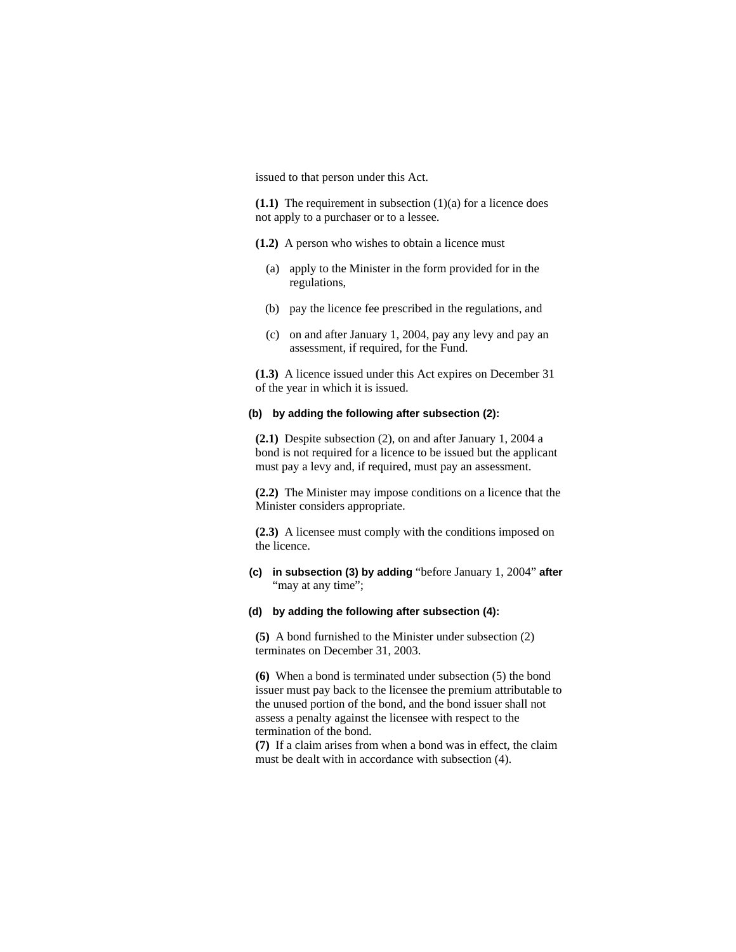issued to that person under this Act.

**(1.1)** The requirement in subsection (1)(a) for a licence does not apply to a purchaser or to a lessee.

- **(1.2)** A person who wishes to obtain a licence must
	- (a) apply to the Minister in the form provided for in the regulations,
	- (b) pay the licence fee prescribed in the regulations, and
	- (c) on and after January 1, 2004, pay any levy and pay an assessment, if required, for the Fund.

**(1.3)** A licence issued under this Act expires on December 31 of the year in which it is issued.

# **(b) by adding the following after subsection (2):**

**(2.1)** Despite subsection (2), on and after January 1, 2004 a bond is not required for a licence to be issued but the applicant must pay a levy and, if required, must pay an assessment.

**(2.2)** The Minister may impose conditions on a licence that the Minister considers appropriate.

**(2.3)** A licensee must comply with the conditions imposed on the licence.

**(c) in subsection (3) by adding** "before January 1, 2004" **after**  "may at any time";

### **(d) by adding the following after subsection (4):**

**(5)** A bond furnished to the Minister under subsection (2) terminates on December 31, 2003.

**(6)** When a bond is terminated under subsection (5) the bond issuer must pay back to the licensee the premium attributable to the unused portion of the bond, and the bond issuer shall not assess a penalty against the licensee with respect to the termination of the bond.

**(7)** If a claim arises from when a bond was in effect, the claim must be dealt with in accordance with subsection (4).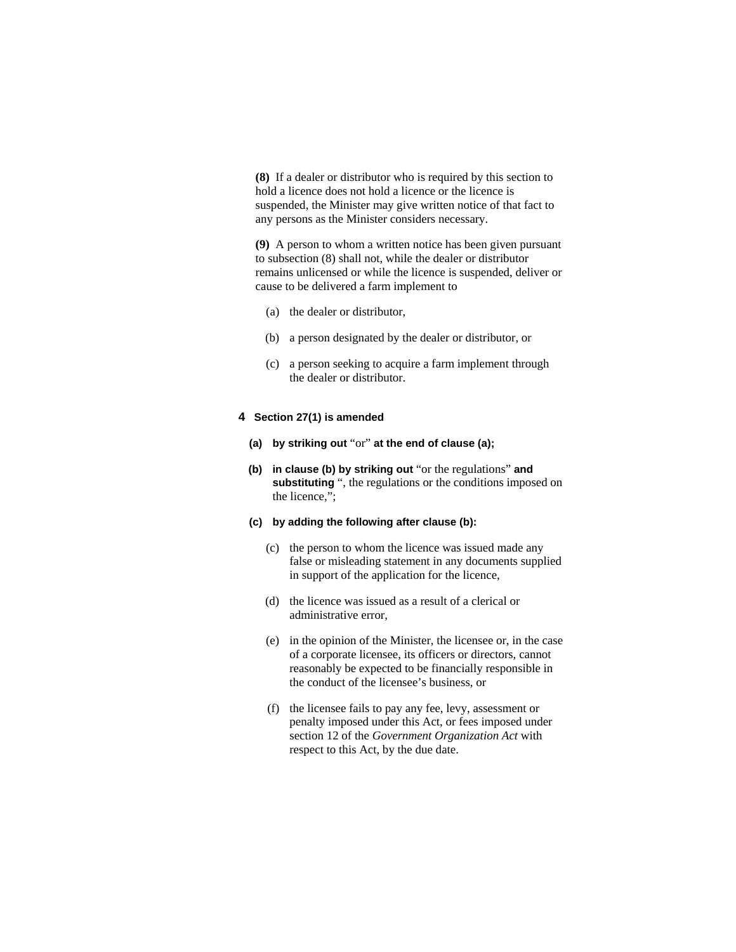**(8)** If a dealer or distributor who is required by this section to hold a licence does not hold a licence or the licence is suspended, the Minister may give written notice of that fact to any persons as the Minister considers necessary.

**(9)** A person to whom a written notice has been given pursuant to subsection (8) shall not, while the dealer or distributor remains unlicensed or while the licence is suspended, deliver or cause to be delivered a farm implement to

- (a) the dealer or distributor,
- (b) a person designated by the dealer or distributor, or
- (c) a person seeking to acquire a farm implement through the dealer or distributor.

# **4 Section 27(1) is amended**

- **(a) by striking out** "or" **at the end of clause (a);**
- **(b) in clause (b) by striking out** "or the regulations" **and**  substituting ", the regulations or the conditions imposed on the licence,";

### **(c) by adding the following after clause (b):**

- (c) the person to whom the licence was issued made any false or misleading statement in any documents supplied in support of the application for the licence,
- (d) the licence was issued as a result of a clerical or administrative error,
- (e) in the opinion of the Minister, the licensee or, in the case of a corporate licensee, its officers or directors, cannot reasonably be expected to be financially responsible in the conduct of the licensee's business, or
- (f) the licensee fails to pay any fee, levy, assessment or penalty imposed under this Act, or fees imposed under section 12 of the *Government Organization Act* with respect to this Act, by the due date.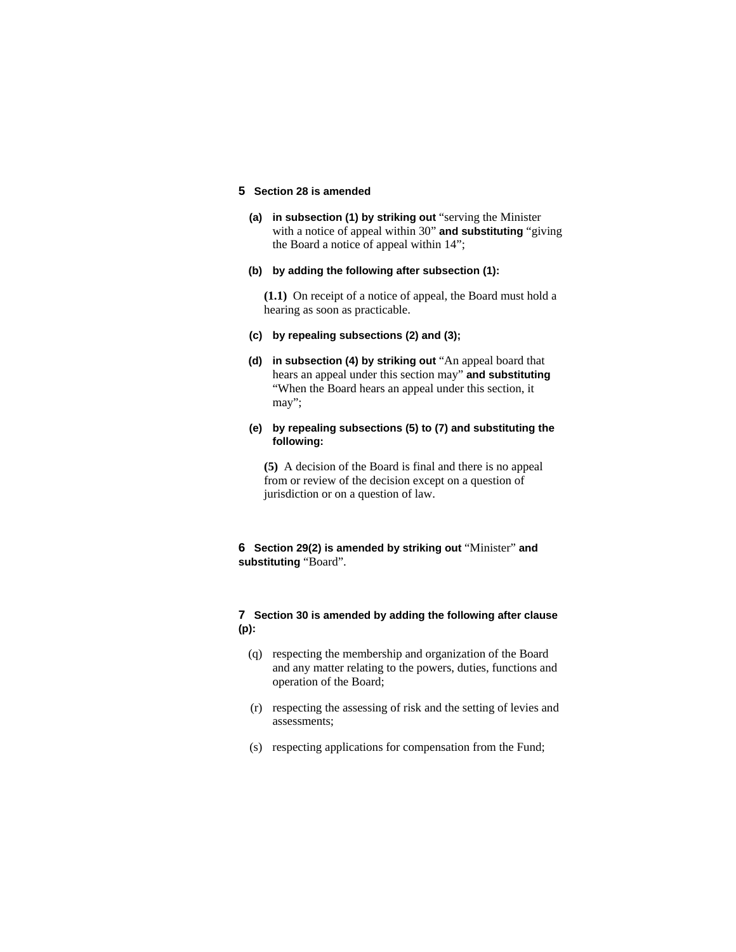# **5 Section 28 is amended**

- **(a) in subsection (1) by striking out** "serving the Minister with a notice of appeal within 30" **and substituting** "giving the Board a notice of appeal within 14";
- **(b) by adding the following after subsection (1):**

**(1.1)** On receipt of a notice of appeal, the Board must hold a hearing as soon as practicable.

- **(c) by repealing subsections (2) and (3);**
- **(d) in subsection (4) by striking out** "An appeal board that hears an appeal under this section may" **and substituting**  "When the Board hears an appeal under this section, it may";
- **(e) by repealing subsections (5) to (7) and substituting the following:**

**(5)** A decision of the Board is final and there is no appeal from or review of the decision except on a question of jurisdiction or on a question of law.

# **6 Section 29(2) is amended by striking out** "Minister" **and substituting** "Board".

# **7 Section 30 is amended by adding the following after clause (p):**

- (q) respecting the membership and organization of the Board and any matter relating to the powers, duties, functions and operation of the Board;
- (r) respecting the assessing of risk and the setting of levies and assessments;
- (s) respecting applications for compensation from the Fund;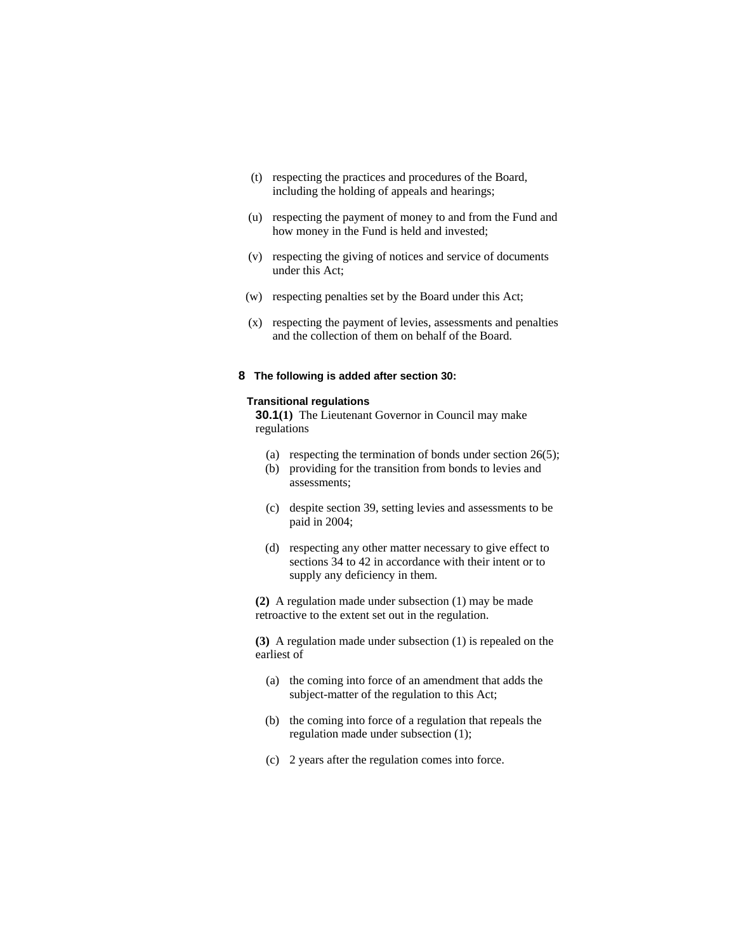- (t) respecting the practices and procedures of the Board, including the holding of appeals and hearings;
- (u) respecting the payment of money to and from the Fund and how money in the Fund is held and invested;
- (v) respecting the giving of notices and service of documents under this Act;
- (w) respecting penalties set by the Board under this Act;
- (x) respecting the payment of levies, assessments and penalties and the collection of them on behalf of the Board.

### **8 The following is added after section 30:**

#### **Transitional regulations**

**30.1(1)** The Lieutenant Governor in Council may make regulations

- (a) respecting the termination of bonds under section 26(5);
- (b) providing for the transition from bonds to levies and assessments;
- (c) despite section 39, setting levies and assessments to be paid in 2004;
- (d) respecting any other matter necessary to give effect to sections 34 to 42 in accordance with their intent or to supply any deficiency in them.

**(2)** A regulation made under subsection (1) may be made retroactive to the extent set out in the regulation.

**(3)** A regulation made under subsection (1) is repealed on the earliest of

- (a) the coming into force of an amendment that adds the subject-matter of the regulation to this Act;
- (b) the coming into force of a regulation that repeals the regulation made under subsection (1);
- (c) 2 years after the regulation comes into force.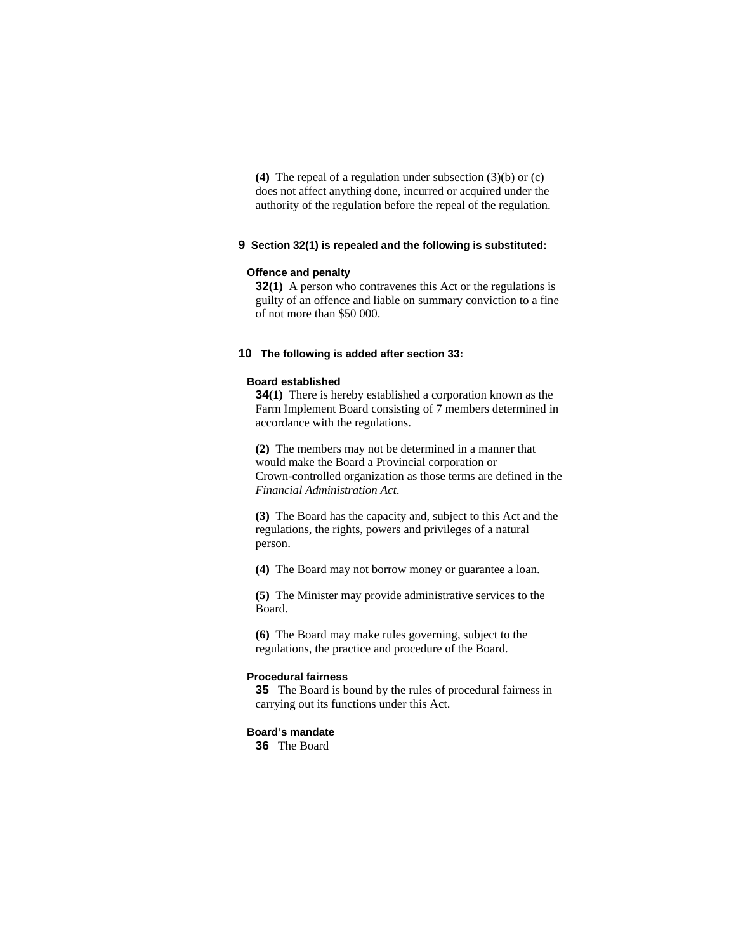**(4)** The repeal of a regulation under subsection (3)(b) or (c) does not affect anything done, incurred or acquired under the authority of the regulation before the repeal of the regulation.

# **9 Section 32(1) is repealed and the following is substituted:**

### **Offence and penalty**

**32(1)** A person who contravenes this Act or the regulations is guilty of an offence and liable on summary conviction to a fine of not more than \$50 000.

# **10 The following is added after section 33:**

#### **Board established**

**34(1)** There is hereby established a corporation known as the Farm Implement Board consisting of 7 members determined in accordance with the regulations.

**(2)** The members may not be determined in a manner that would make the Board a Provincial corporation or Crown-controlled organization as those terms are defined in the *Financial Administration Act*.

**(3)** The Board has the capacity and, subject to this Act and the regulations, the rights, powers and privileges of a natural person.

**(4)** The Board may not borrow money or guarantee a loan.

**(5)** The Minister may provide administrative services to the Board.

**(6)** The Board may make rules governing, subject to the regulations, the practice and procedure of the Board.

## **Procedural fairness**

**35** The Board is bound by the rules of procedural fairness in carrying out its functions under this Act.

### **Board's mandate**

**36** The Board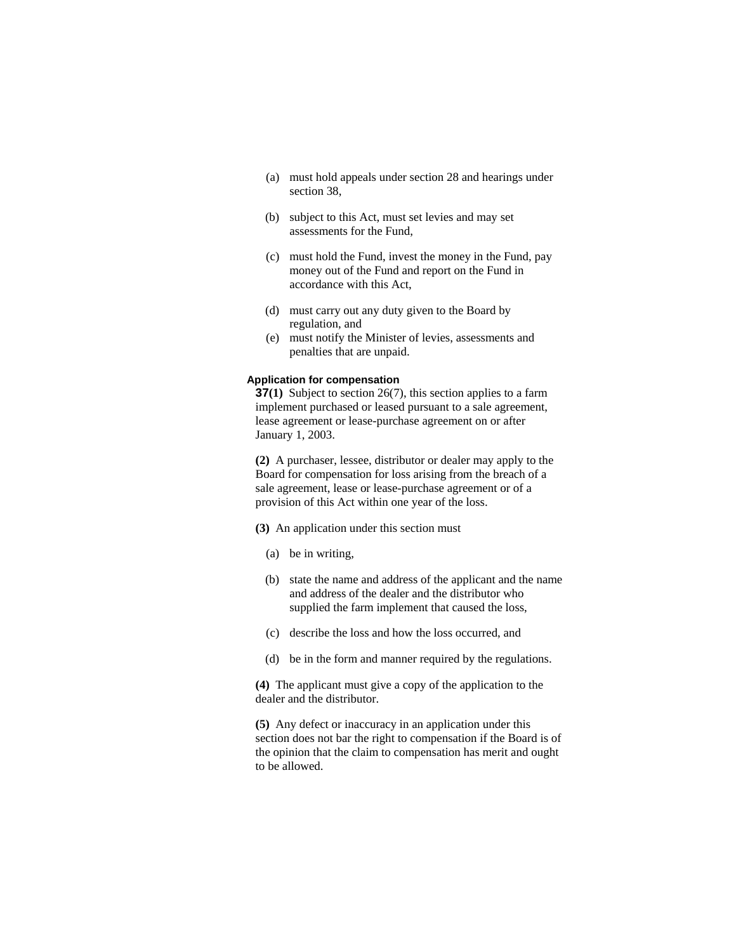- (a) must hold appeals under section 28 and hearings under section 38,
- (b) subject to this Act, must set levies and may set assessments for the Fund,
- (c) must hold the Fund, invest the money in the Fund, pay money out of the Fund and report on the Fund in accordance with this Act,
- (d) must carry out any duty given to the Board by regulation, and
- (e) must notify the Minister of levies, assessments and penalties that are unpaid.

### **Application for compensation**

**37(1)** Subject to section 26(7), this section applies to a farm implement purchased or leased pursuant to a sale agreement, lease agreement or lease-purchase agreement on or after January 1, 2003.

**(2)** A purchaser, lessee, distributor or dealer may apply to the Board for compensation for loss arising from the breach of a sale agreement, lease or lease-purchase agreement or of a provision of this Act within one year of the loss.

- **(3)** An application under this section must
	- (a) be in writing,
	- (b) state the name and address of the applicant and the name and address of the dealer and the distributor who supplied the farm implement that caused the loss,
	- (c) describe the loss and how the loss occurred, and
	- (d) be in the form and manner required by the regulations.

**(4)** The applicant must give a copy of the application to the dealer and the distributor.

**(5)** Any defect or inaccuracy in an application under this section does not bar the right to compensation if the Board is of the opinion that the claim to compensation has merit and ought to be allowed.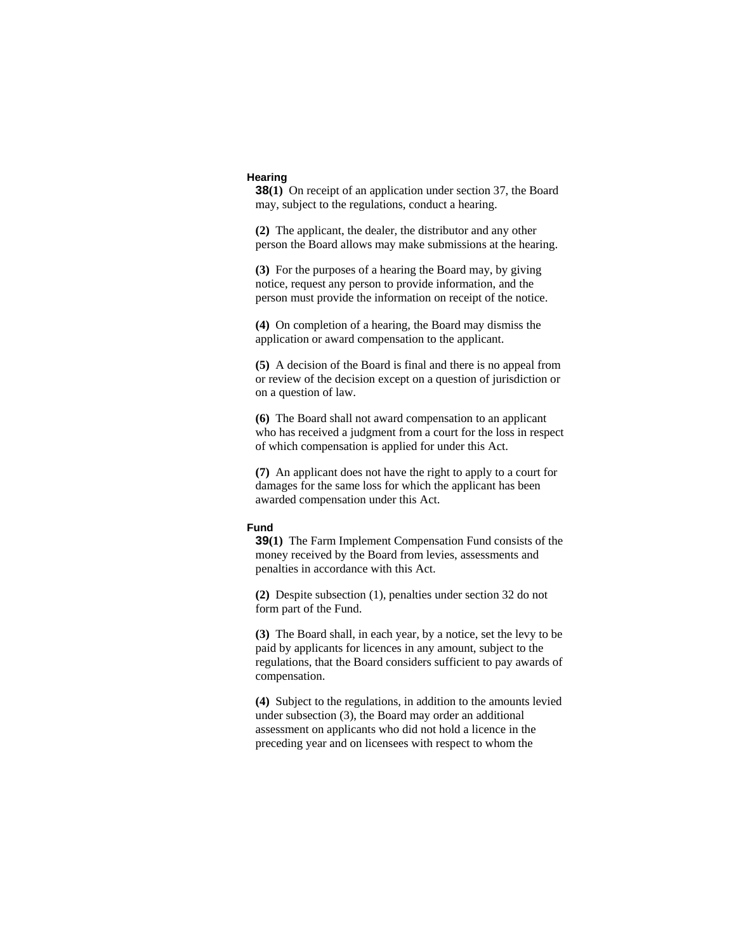### **Hearing**

**38(1)** On receipt of an application under section 37, the Board may, subject to the regulations, conduct a hearing.

**(2)** The applicant, the dealer, the distributor and any other person the Board allows may make submissions at the hearing.

**(3)** For the purposes of a hearing the Board may, by giving notice, request any person to provide information, and the person must provide the information on receipt of the notice.

**(4)** On completion of a hearing, the Board may dismiss the application or award compensation to the applicant.

**(5)** A decision of the Board is final and there is no appeal from or review of the decision except on a question of jurisdiction or on a question of law.

**(6)** The Board shall not award compensation to an applicant who has received a judgment from a court for the loss in respect of which compensation is applied for under this Act.

**(7)** An applicant does not have the right to apply to a court for damages for the same loss for which the applicant has been awarded compensation under this Act.

## **Fund**

**39(1)** The Farm Implement Compensation Fund consists of the money received by the Board from levies, assessments and penalties in accordance with this Act.

**(2)** Despite subsection (1), penalties under section 32 do not form part of the Fund.

**(3)** The Board shall, in each year, by a notice, set the levy to be paid by applicants for licences in any amount, subject to the regulations, that the Board considers sufficient to pay awards of compensation.

**(4)** Subject to the regulations, in addition to the amounts levied under subsection (3), the Board may order an additional assessment on applicants who did not hold a licence in the preceding year and on licensees with respect to whom the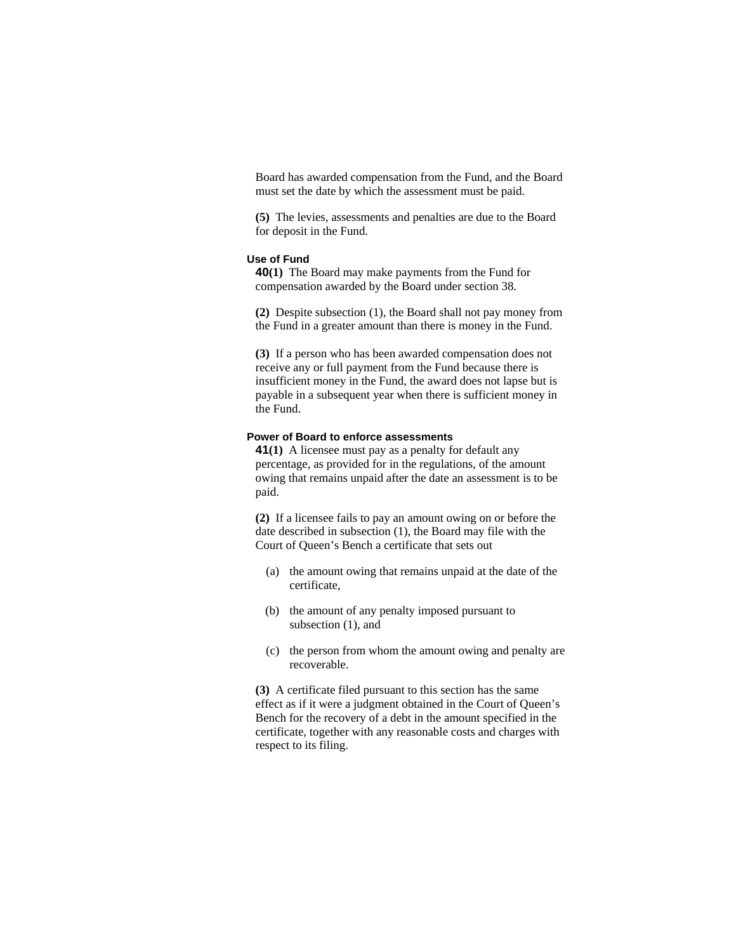Board has awarded compensation from the Fund, and the Board must set the date by which the assessment must be paid.

**(5)** The levies, assessments and penalties are due to the Board for deposit in the Fund.

# **Use of Fund**

**40(1)** The Board may make payments from the Fund for compensation awarded by the Board under section 38.

**(2)** Despite subsection (1), the Board shall not pay money from the Fund in a greater amount than there is money in the Fund.

**(3)** If a person who has been awarded compensation does not receive any or full payment from the Fund because there is insufficient money in the Fund, the award does not lapse but is payable in a subsequent year when there is sufficient money in the Fund.

# **Power of Board to enforce assessments**

**41(1)** A licensee must pay as a penalty for default any percentage, as provided for in the regulations, of the amount owing that remains unpaid after the date an assessment is to be paid.

**(2)** If a licensee fails to pay an amount owing on or before the date described in subsection (1), the Board may file with the Court of Queen's Bench a certificate that sets out

- (a) the amount owing that remains unpaid at the date of the certificate,
- (b) the amount of any penalty imposed pursuant to subsection (1), and
- (c) the person from whom the amount owing and penalty are recoverable.

**(3)** A certificate filed pursuant to this section has the same effect as if it were a judgment obtained in the Court of Queen's Bench for the recovery of a debt in the amount specified in the certificate, together with any reasonable costs and charges with respect to its filing.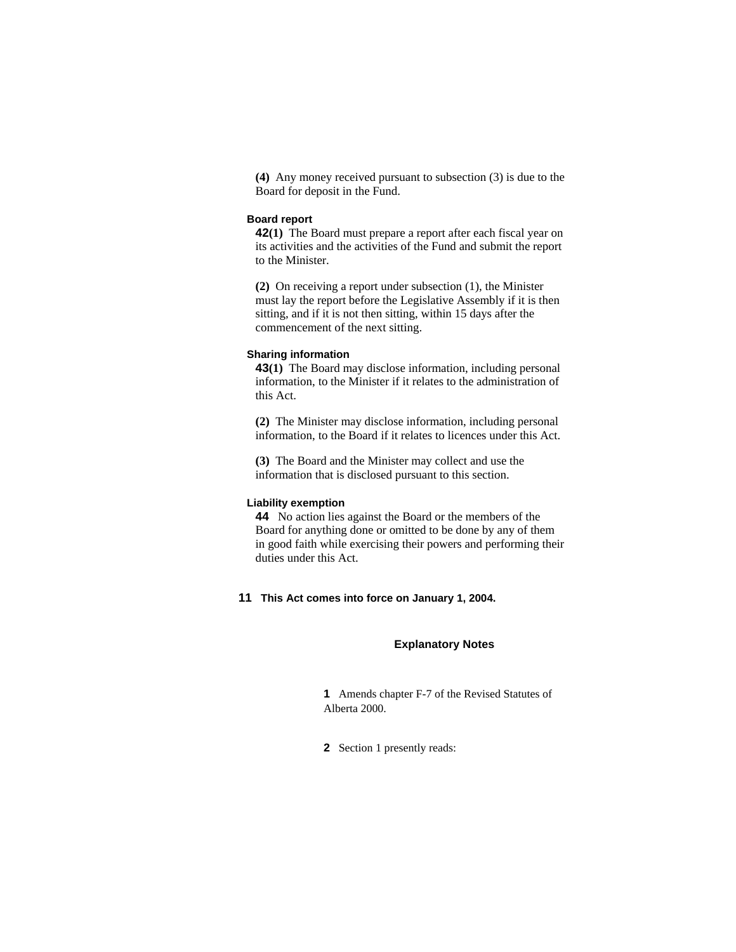**(4)** Any money received pursuant to subsection (3) is due to the Board for deposit in the Fund.

# **Board report**

**42(1)** The Board must prepare a report after each fiscal year on its activities and the activities of the Fund and submit the report to the Minister.

**(2)** On receiving a report under subsection (1), the Minister must lay the report before the Legislative Assembly if it is then sitting, and if it is not then sitting, within 15 days after the commencement of the next sitting.

#### **Sharing information**

**43(1)** The Board may disclose information, including personal information, to the Minister if it relates to the administration of this Act.

**(2)** The Minister may disclose information, including personal information, to the Board if it relates to licences under this Act.

**(3)** The Board and the Minister may collect and use the information that is disclosed pursuant to this section.

# **Liability exemption**

**44** No action lies against the Board or the members of the Board for anything done or omitted to be done by any of them in good faith while exercising their powers and performing their duties under this Act.

**11 This Act comes into force on January 1, 2004.** 

### **Explanatory Notes**

**1** Amends chapter F-7 of the Revised Statutes of Alberta 2000.

**2** Section 1 presently reads: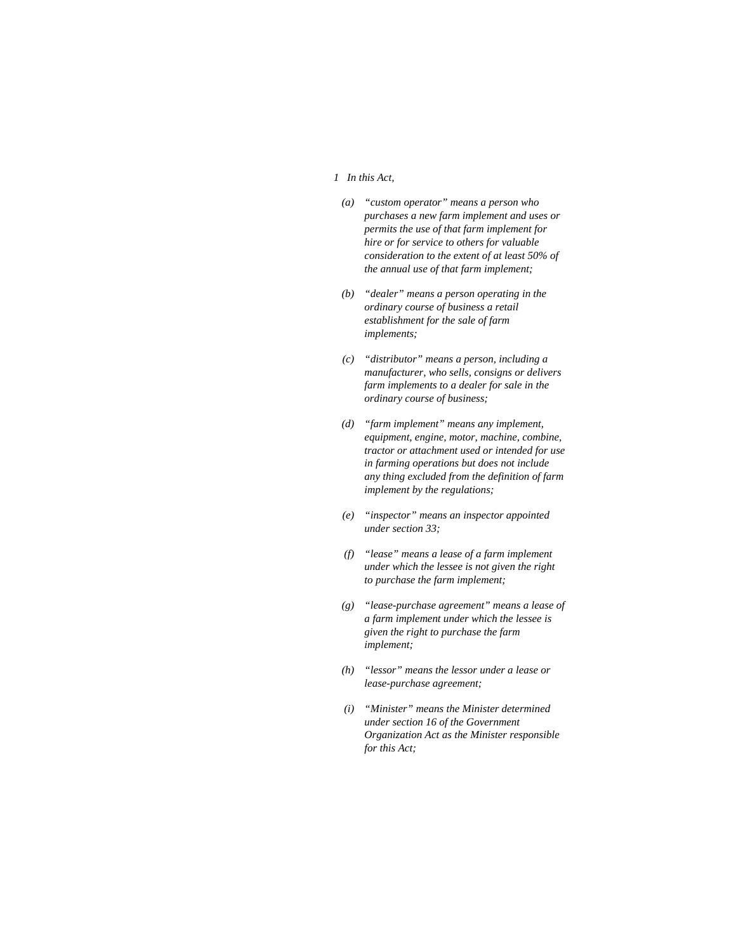#### *1 In this Act,*

- *(a) "custom operator" means a person who purchases a new farm implement and uses or permits the use of that farm implement for hire or for service to others for valuable consideration to the extent of at least 50% of the annual use of that farm implement;*
- *(b) "dealer" means a person operating in the ordinary course of business a retail establishment for the sale of farm implements;*
- *(c) "distributor" means a person, including a manufacturer, who sells, consigns or delivers farm implements to a dealer for sale in the ordinary course of business;*
- *(d) "farm implement" means any implement, equipment, engine, motor, machine, combine, tractor or attachment used or intended for use in farming operations but does not include any thing excluded from the definition of farm implement by the regulations;*
- *(e) "inspector" means an inspector appointed under section 33;*
- *(f) "lease" means a lease of a farm implement under which the lessee is not given the right to purchase the farm implement;*
- *(g) "lease-purchase agreement" means a lease of a farm implement under which the lessee is given the right to purchase the farm implement;*
- *(h) "lessor" means the lessor under a lease or lease-purchase agreement;*
- *(i) "Minister" means the Minister determined under section 16 of the Government Organization Act as the Minister responsible for this Act;*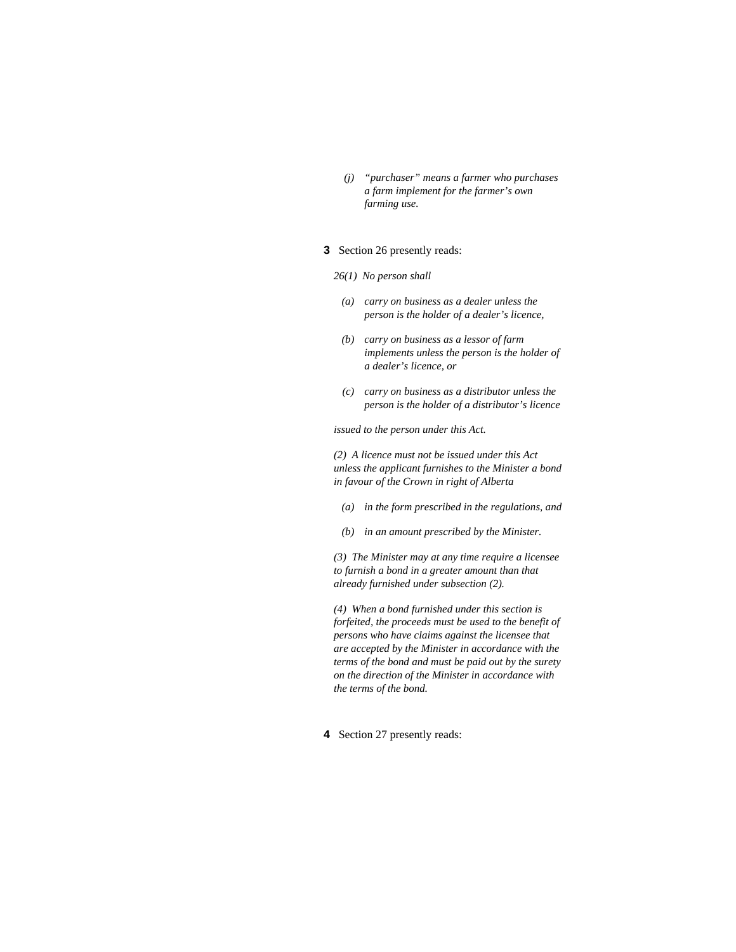*(j) "purchaser" means a farmer who purchases a farm implement for the farmer's own farming use.* 

# **3** Section 26 presently reads:

- *26(1) No person shall*
- *(a) carry on business as a dealer unless the person is the holder of a dealer's licence,*
- *(b) carry on business as a lessor of farm implements unless the person is the holder of a dealer's licence, or*
- *(c) carry on business as a distributor unless the person is the holder of a distributor's licence*

*issued to the person under this Act.* 

*(2) A licence must not be issued under this Act unless the applicant furnishes to the Minister a bond in favour of the Crown in right of Alberta* 

- *(a) in the form prescribed in the regulations, and*
- *(b) in an amount prescribed by the Minister.*

*(3) The Minister may at any time require a licensee to furnish a bond in a greater amount than that already furnished under subsection (2).* 

*(4) When a bond furnished under this section is forfeited, the proceeds must be used to the benefit of persons who have claims against the licensee that are accepted by the Minister in accordance with the terms of the bond and must be paid out by the surety on the direction of the Minister in accordance with the terms of the bond.* 

**4** Section 27 presently reads: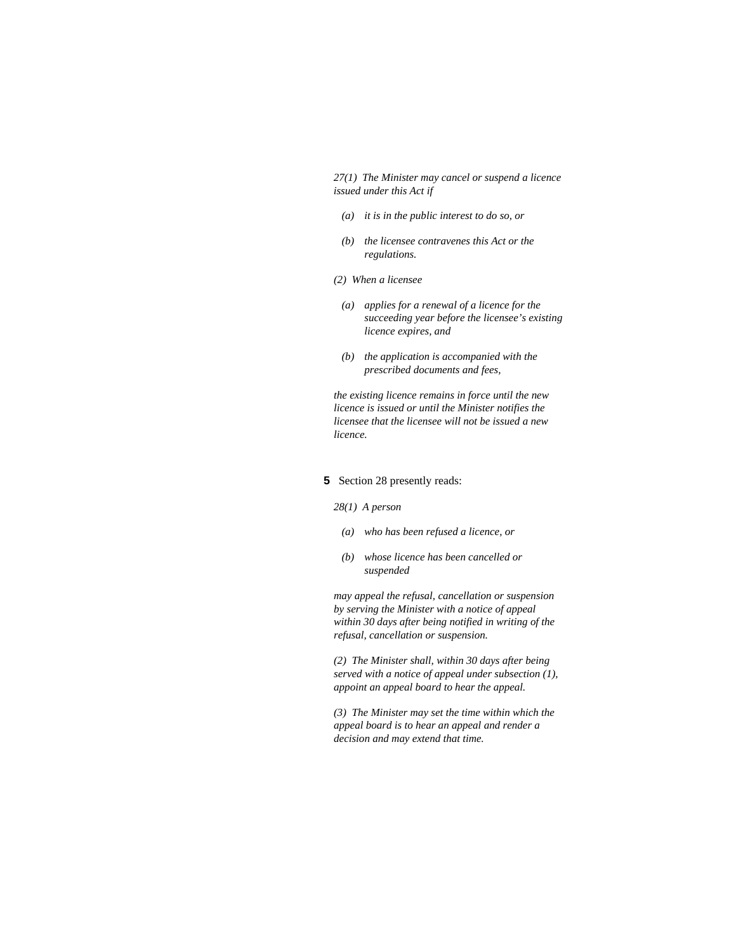*27(1) The Minister may cancel or suspend a licence issued under this Act if* 

- *(a) it is in the public interest to do so, or*
- *(b) the licensee contravenes this Act or the regulations.*
- *(2) When a licensee* 
	- *(a) applies for a renewal of a licence for the succeeding year before the licensee's existing licence expires, and*
	- *(b) the application is accompanied with the prescribed documents and fees,*

*the existing licence remains in force until the new licence is issued or until the Minister notifies the licensee that the licensee will not be issued a new licence.* 

#### **5** Section 28 presently reads:

#### *28(1) A person*

- *(a) who has been refused a licence, or*
- *(b) whose licence has been cancelled or suspended*

*may appeal the refusal, cancellation or suspension by serving the Minister with a notice of appeal within 30 days after being notified in writing of the refusal, cancellation or suspension.* 

*(2) The Minister shall, within 30 days after being served with a notice of appeal under subsection (1), appoint an appeal board to hear the appeal.* 

*(3) The Minister may set the time within which the appeal board is to hear an appeal and render a decision and may extend that time.*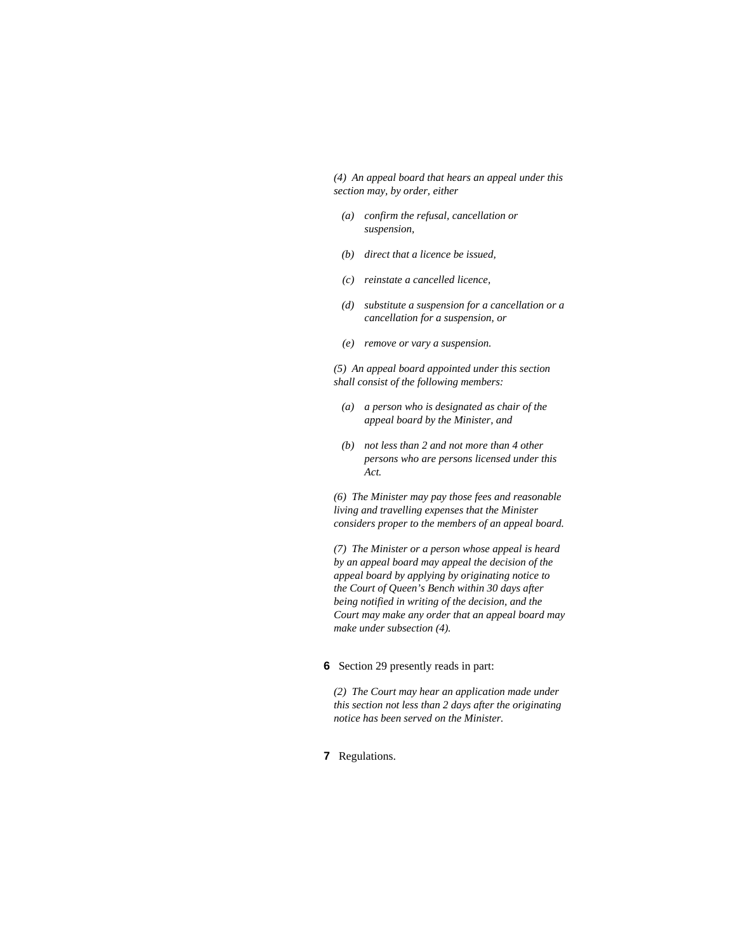*(4) An appeal board that hears an appeal under this section may, by order, either* 

- *(a) confirm the refusal, cancellation or suspension,*
- *(b) direct that a licence be issued,*
- *(c) reinstate a cancelled licence,*
- *(d) substitute a suspension for a cancellation or a cancellation for a suspension, or*
- *(e) remove or vary a suspension.*

*(5) An appeal board appointed under this section shall consist of the following members:* 

- *(a) a person who is designated as chair of the appeal board by the Minister, and*
- *(b) not less than 2 and not more than 4 other persons who are persons licensed under this Act.*

*(6) The Minister may pay those fees and reasonable living and travelling expenses that the Minister considers proper to the members of an appeal board.* 

*(7) The Minister or a person whose appeal is heard by an appeal board may appeal the decision of the appeal board by applying by originating notice to the Court of Queen's Bench within 30 days after being notified in writing of the decision, and the Court may make any order that an appeal board may make under subsection (4).* 

**6** Section 29 presently reads in part:

*(2) The Court may hear an application made under this section not less than 2 days after the originating notice has been served on the Minister.* 

**7** Regulations.